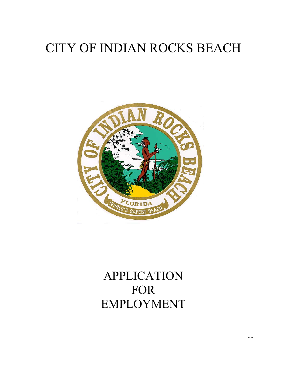# CITY OF INDIAN ROCKS BEACH



## APPLICATION FOR EMPLOYMENT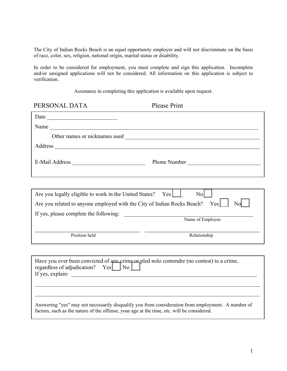The City of Indian Rocks Beach is an equal opportunity employer and will not discriminate on the basis of race, color, sex, religion, national origin, marital status or disability.

 In order to be considered for employment, you must complete and sign this application. Incomplete and/or unsigned applications will not be considered. All information on this application is subject to verification.

Assistance in completing this application is available upon request.

| PERSONAL DATA                                                                                                                               | <b>Please Print</b> |  |
|---------------------------------------------------------------------------------------------------------------------------------------------|---------------------|--|
|                                                                                                                                             |                     |  |
|                                                                                                                                             |                     |  |
|                                                                                                                                             |                     |  |
|                                                                                                                                             |                     |  |
|                                                                                                                                             | Phone Number        |  |
|                                                                                                                                             |                     |  |
| Are you legally eligible to work in the United States? Yes                                                                                  | $\rm{No}$           |  |
| Are you related to anyone employed with the City of Indian Rocks Beach? Yes                                                                 | No                  |  |
|                                                                                                                                             |                     |  |
|                                                                                                                                             | Name of Employee    |  |
| Position held                                                                                                                               | Relationship        |  |
|                                                                                                                                             |                     |  |
| Have you ever been convicted of any crime or pled nolo contendre (no contest) to a crime,<br>regardless of adjudication? $Yes \cup No \cup$ |                     |  |
|                                                                                                                                             |                     |  |

Answering "yes" may not necessarily disqualify you from consideration from employment. A number of factors, such as the nature of the offense, your age at the time, etc. will be considered.

\_\_\_\_\_\_\_\_\_\_\_\_\_\_\_\_\_\_\_\_\_\_\_\_\_\_\_\_\_\_\_\_\_\_\_\_\_\_\_\_\_\_\_\_\_\_\_\_\_\_\_\_\_\_\_\_\_\_\_\_\_\_\_\_\_\_\_\_\_\_\_\_\_\_\_\_\_\_\_\_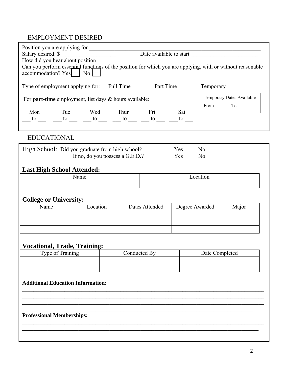## EMPLOYMENT DESIRED

| Position you are applying for                                                                                                         |                                               |                                 |                |                           |                |       |
|---------------------------------------------------------------------------------------------------------------------------------------|-----------------------------------------------|---------------------------------|----------------|---------------------------|----------------|-------|
|                                                                                                                                       | Date available to start<br>Salary desired: \$ |                                 |                |                           |                |       |
| How did you hear about position                                                                                                       |                                               |                                 |                |                           |                |       |
| Can you perform esseptial functions of the position for which you are applying, with or without reasonable<br>accommodation? Yes   No |                                               |                                 |                |                           |                |       |
| Type of employment applying for: Full Time Part Time Temporary _______                                                                |                                               |                                 |                |                           |                |       |
| For <b>part-time</b> employment, list days & hours available:                                                                         |                                               |                                 |                | Temporary Dates Available |                |       |
|                                                                                                                                       |                                               |                                 |                |                           |                |       |
|                                                                                                                                       |                                               |                                 |                |                           |                |       |
|                                                                                                                                       |                                               |                                 |                |                           |                |       |
| <b>EDUCATIONAL</b>                                                                                                                    |                                               |                                 |                |                           |                |       |
| High School: Did you graduate from high school?                                                                                       |                                               |                                 |                |                           | $Yes$ No $N$   |       |
|                                                                                                                                       |                                               | If no, do you possess a G.E.D.? |                |                           | Yes No         |       |
|                                                                                                                                       |                                               |                                 |                |                           |                |       |
| <b>Last High School Attended:</b>                                                                                                     |                                               |                                 |                |                           |                |       |
|                                                                                                                                       | Name                                          |                                 |                |                           | Location       |       |
|                                                                                                                                       |                                               |                                 |                |                           |                |       |
| <b>College or University:</b>                                                                                                         |                                               |                                 |                |                           |                |       |
| Name                                                                                                                                  | Location                                      |                                 | Dates Attended |                           | Degree Awarded | Major |
|                                                                                                                                       |                                               |                                 |                |                           |                |       |
|                                                                                                                                       |                                               |                                 |                |                           |                |       |
|                                                                                                                                       |                                               |                                 |                |                           |                |       |
|                                                                                                                                       |                                               |                                 |                |                           |                |       |
| <b>Vocational, Trade, Training:</b>                                                                                                   |                                               |                                 |                |                           |                |       |
| Type of Training                                                                                                                      |                                               |                                 | Conducted By   |                           | Date Completed |       |
|                                                                                                                                       |                                               |                                 |                |                           |                |       |
|                                                                                                                                       |                                               |                                 |                |                           |                |       |
|                                                                                                                                       |                                               |                                 |                |                           |                |       |
| <b>Additional Education Information:</b>                                                                                              |                                               |                                 |                |                           |                |       |
|                                                                                                                                       |                                               |                                 |                |                           |                |       |
|                                                                                                                                       |                                               |                                 |                |                           |                |       |
|                                                                                                                                       |                                               |                                 |                |                           |                |       |

**\_\_\_\_\_\_\_\_\_\_\_\_\_\_\_\_\_\_\_\_\_\_\_\_\_\_\_\_\_\_\_\_\_\_\_\_\_\_\_\_\_\_\_\_\_\_\_\_\_\_\_\_\_\_\_\_\_\_\_\_\_\_\_\_\_\_\_\_\_\_\_\_\_\_\_\_\_\_\_\_\_\_\_\_\_\_ \_\_\_\_\_\_\_\_\_\_\_\_\_\_\_\_\_\_\_\_\_\_\_\_\_\_\_\_\_\_\_\_\_\_\_\_\_\_\_\_\_\_\_\_\_\_\_\_\_\_\_\_\_\_\_\_\_\_\_\_\_\_\_\_\_\_\_\_\_\_\_\_\_\_\_\_\_\_\_\_\_\_\_\_** 

### **Professional Memberships:**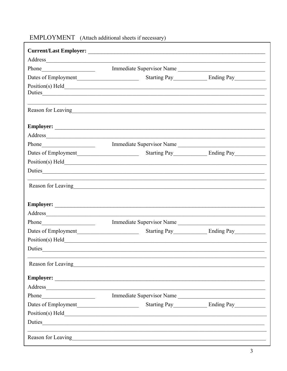| Address and the contract of the contract of the contract of the contract of the contract of the contract of the contract of the contract of the contract of the contract of the contract of the contract of the contract of th |  |
|--------------------------------------------------------------------------------------------------------------------------------------------------------------------------------------------------------------------------------|--|
| Immediate Supervisor Name                                                                                                                                                                                                      |  |
|                                                                                                                                                                                                                                |  |
| $Position(s)$ $Held$                                                                                                                                                                                                           |  |
| Reason for Leaving<br><u>Example 2008</u>                                                                                                                                                                                      |  |
|                                                                                                                                                                                                                                |  |
| Address and the contract of the contract of the contract of the contract of the contract of the contract of the contract of the contract of the contract of the contract of the contract of the contract of the contract of th |  |
| Phone Immediate Supervisor Name                                                                                                                                                                                                |  |
|                                                                                                                                                                                                                                |  |
|                                                                                                                                                                                                                                |  |
|                                                                                                                                                                                                                                |  |
| Reason for Leaving https://www.archive.com/www.archive.com/www.archive.com/www.archive.com/www.archive.com/www.archive.com/www.archive.com/www.archive.com/www.archive.com/www.archive.com/www.archive.com/www.archive.com/www |  |
|                                                                                                                                                                                                                                |  |
| Address                                                                                                                                                                                                                        |  |
| Immediate Supervisor Name                                                                                                                                                                                                      |  |
|                                                                                                                                                                                                                                |  |
|                                                                                                                                                                                                                                |  |
|                                                                                                                                                                                                                                |  |
| Reason for Leaving<br><u>Example 2014</u>                                                                                                                                                                                      |  |
|                                                                                                                                                                                                                                |  |
| Address and the contract of the contract of the contract of the contract of the contract of the contract of the contract of the contract of the contract of the contract of the contract of the contract of the contract of th |  |
| Immediate Supervisor Name                                                                                                                                                                                                      |  |
|                                                                                                                                                                                                                                |  |
|                                                                                                                                                                                                                                |  |
|                                                                                                                                                                                                                                |  |

## EMPLOYMENT (Attach additional sheets if necessary)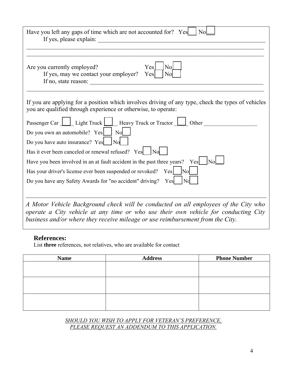| Have you left any gaps of time which are not accounted for? Yes<br><b>No</b><br>If yes, please explain:                                                                                                                                                      |
|--------------------------------------------------------------------------------------------------------------------------------------------------------------------------------------------------------------------------------------------------------------|
|                                                                                                                                                                                                                                                              |
| Yes<br>No<br>Are you currently employed?<br>If yes, may we contact your employer?<br>N <sub>o</sub><br>Yes<br>If no, state reason:                                                                                                                           |
| If you are applying for a position which involves driving of any type, check the types of vehicles                                                                                                                                                           |
| you are qualified through experience or otherwise, to operate:                                                                                                                                                                                               |
| Passenger Car   Light Truck   Heavy Truck or Tractor   Other                                                                                                                                                                                                 |
| Do you own an automobile? Yes<br>N <sub>o</sub>                                                                                                                                                                                                              |
| Do you have auto insurance? Yes<br>$\overline{N_0}$                                                                                                                                                                                                          |
| Has it ever been canceled or renewal refused? Yes No                                                                                                                                                                                                         |
| Have you been involved in an at fault accident in the past three years? Yes                                                                                                                                                                                  |
| Has your driver's license ever been suspended or revoked? Yes<br>No                                                                                                                                                                                          |
| Do you have any Safety Awards for "no accident" driving?<br>Yes                                                                                                                                                                                              |
|                                                                                                                                                                                                                                                              |
| A Motor Vehicle Background check will be conducted on all employees of the City who<br>operate a City vehicle at any time or who use their own vehicle for conducting City<br>business and/or where they receive mileage or use reimbursement from the City. |

### **References:**

List **three** references, not relatives, who are available for contact

| <b>Name</b> | <b>Address</b> | <b>Phone Number</b> |  |
|-------------|----------------|---------------------|--|
|             |                |                     |  |
|             |                |                     |  |
|             |                |                     |  |
|             |                |                     |  |
|             |                |                     |  |
|             |                |                     |  |
|             |                |                     |  |

*SHOULD YOU WISH TO APPLY FOR VETERAN'S PREFERENCE, PLEASE REQUEST AN ADDENDUM TO THIS APPLICATION.*